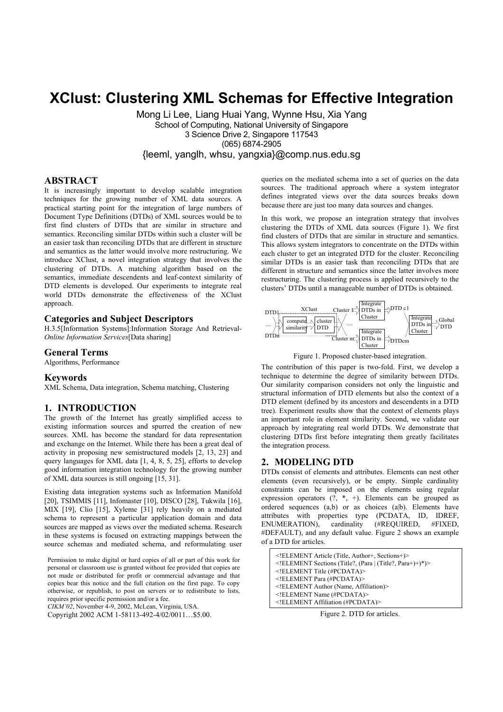# **XClust: Clustering XML Schemas for Effective Integration**

Mong Li Lee, Liang Huai Yang, Wynne Hsu, Xia Yang School of Computing, National University of Singapore 3 Science Drive 2, Singapore 117543 (065) 6874-2905 {leeml, yanglh, whsu, yangxia}@comp.nus.edu.sg

# **ABSTRACT**

It is increasingly important to develop scalable integration techniques for the growing number of XML data sources. A practical starting point for the integration of large numbers of Document Type Definitions (DTDs) of XML sources would be to first find clusters of DTDs that are similar in structure and semantics. Reconciling similar DTDs within such a cluster will be an easier task than reconciling DTDs that are different in structure and semantics as the latter would involve more restructuring. We introduce XClust, a novel integration strategy that involves the clustering of DTDs. A matching algorithm based on the semantics, immediate descendents and leaf-context similarity of DTD elements is developed. Our experiments to integrate real world DTDs demonstrate the effectiveness of the XClust approach.

# **Categories and Subject Descriptors**

H.3.5[Information Systems]:Information Storage And Retrieval-*Online Information Services*[Data sharing]

## **General Terms**

Algorithms, Performance

## **Keywords**

XML Schema, Data integration, Schema matching, Clustering

## **1. INTRODUCTION**

The growth of the Internet has greatly simplified access to existing information sources and spurred the creation of new sources. XML has become the standard for data representation and exchange on the Internet. While there has been a great deal of activity in proposing new semistructured models [2, 13, 23] and query languages for XML data [1, 4, 8, 5, 25], efforts to develop good information integration technology for the growing number of XML data sources is still ongoing [15, 31].

Existing data integration systems such as Information Manifold [20], TSIMMIS [11], Infomaster [10], DISCO [28], Tukwila [16], MIX [19], Clio [15], Xyleme [31] rely heavily on a mediated schema to represent a particular application domain and data sources are mapped as views over the mediated schema. Research in these systems is focused on extracting mappings between the source schemas and mediated schema, and reformulating user

Permission to make digital or hard copies of all or part of this work for personal or classroom use is granted without fee provided that copies are not made or distributed for profit or commercial advantage and that copies bear this notice and the full citation on the first page. To copy otherwise, or republish, to post on servers or to redistribute to lists, requires prior specific permission and/or a fee.

```
CIKM'02, November 4-9, 2002, McLean, Virginia, USA.
```
Copyright 2002 ACM 1-58113-492-4/02/0011…\$5.00.

queries on the mediated schema into a set of queries on the data sources. The traditional approach where a system integrator defines integrated views over the data sources breaks down because there are just too many data sources and changes.

In this work, we propose an integration strategy that involves clustering the DTDs of XML data sources (Figure 1). We first find clusters of DTDs that are similar in structure and semantics. This allows system integrators to concentrate on the DTDs within each cluster to get an integrated DTD for the cluster. Reconciling similar DTDs is an easier task than reconciling DTDs that are different in structure and semantics since the latter involves more restructuring. The clustering process is applied recursively to the clusters' DTDs until a manageable number of DTDs is obtained.



Figure 1. Proposed cluster-based integration.

The contribution of this paper is two-fold. First, we develop a technique to determine the degree of similarity between DTDs. Our similarity comparison considers not only the linguistic and structural information of DTD elements but also the context of a DTD element (defined by its ancestors and descendents in a DTD tree). Experiment results show that the context of elements plays an important role in element similarity. Second, we validate our approach by integrating real world DTDs. We demonstrate that clustering DTDs first before integrating them greatly facilitates the integration process.

# **2. MODELING DTD**

DTDs consist of elements and attributes. Elements can nest other elements (even recursively), or be empty. Simple cardinality constraints can be imposed on the elements using regular expression operators  $(?, *, +)$ . Elements can be grouped as ordered sequences (a,b) or as choices (a|b). Elements have attributes with properties type (PCDATA, ID, IDREF, ENUMERATION), cardinality (#REQUIRED, #FIXED, #DEFAULT), and any default value. Figure 2 shows an example of a DTD for articles.

| ELEMENT Article (Title, Author+, Sections+)                    |
|----------------------------------------------------------------|
| $\leq$ !ELEMENT Sections (Title?, (Para   (Title?, Para+)+)*)> |
| $\leq$ !ELEMENT Title (#PCDATA)>                               |
| ELEMENT Para (#PCDATA)                                         |
| ELEMENT Author (Name, Affiliation)                             |
| $\leq$ !ELEMENT Name (#PCDATA)>                                |
| ELEMENT Affiliation (#PCDATA)                                  |

Figure 2. DTD for articles.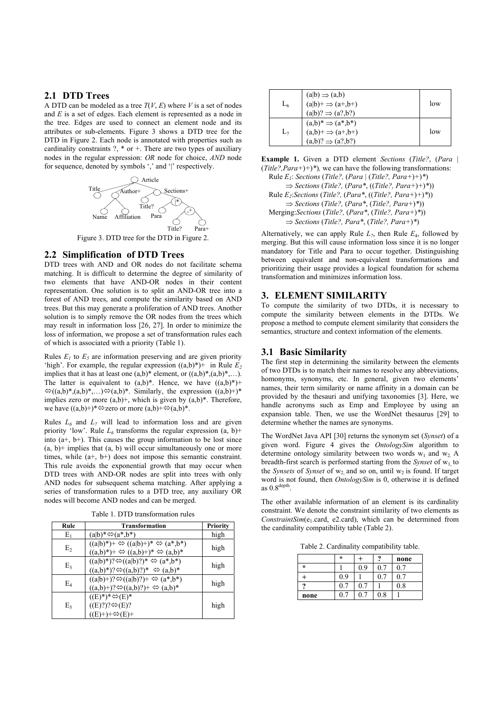# **2.1 DTD Trees**

A DTD can be modeled as a tree  $T(V, E)$  where *V* is a set of nodes and *E* is a set of edges. Each element is represented as a node in the tree. Edges are used to connect an element node and its attributes or sub-elements. Figure 3 shows a DTD tree for the DTD in Figure 2. Each node is annotated with properties such as cardinality constraints  $?$ ,  $*$  or  $+$ . There are two types of auxiliary nodes in the regular expression: *OR* node for choice, *AND* node for sequence, denoted by symbols ',' and '|' respectively.



# **2.2 Simplification of DTD Trees**

DTD trees with AND and OR nodes do not facilitate schema matching. It is difficult to determine the degree of similarity of two elements that have AND-OR nodes in their content representation. One solution is to split an AND-OR tree into a forest of AND trees, and compute the similarity based on AND trees. But this may generate a proliferation of AND trees. Another solution is to simply remove the OR nodes from the trees which may result in information loss [26, 27]. In order to minimize the loss of information, we propose a set of transformation rules each of which is associated with a priority (Table 1).

Rules  $E_1$  to  $E_5$  are information preserving and are given priority 'high'. For example, the regular expression  $((a,b)^*)$ <sup>+</sup> in Rule  $E_2$ implies that it has at least one  $(a,b)^*$  element, or  $((a,b)^*, (a,b)^*, \ldots)$ . The latter is equivalent to  $(a,b)^*$ . Hence, we have  $((a,b)^*)$ +  $\Im((a,b)^*, (a,b)^*, \ldots) \Im(a,b)^*$ . Similarly, the expression  $((a,b)^+)^*$ implies zero or more  $(a,b)$ <sup>+</sup>, which is given by  $(a,b)$ <sup>\*</sup>. Therefore, we have  $((a,b)+)^*\n\Leftrightarrow$  zero or more  $(a,b)+\Leftrightarrow$   $(a,b)^*$ .

Rules  $L_6$  and  $L_7$  will lead to information loss and are given priority 'low'. Rule  $L_6$  transforms the regular expression  $(a, b)$ + into  $(a+, b+)$ . This causes the group information to be lost since  $(a, b)$ + implies that  $(a, b)$  will occur simultaneously one or more times, while (a+, b+) does not impose this semantic constraint. This rule avoids the exponential growth that may occur when DTD trees with AND-OR nodes are split into trees with only AND nodes for subsequent schema matching. After applying a series of transformation rules to a DTD tree, any auxiliary OR nodes will become AND nodes and can be merged.

| Rule  | <b>Transformation</b>                                                                                                                                  | Priority |
|-------|--------------------------------------------------------------------------------------------------------------------------------------------------------|----------|
| $E_1$ | $(a b)$ * $\Leftrightarrow$ $(a*,b*)$                                                                                                                  | high     |
| E,    | $((a b)^*)^+ \Leftrightarrow ((a b)^+)^* \Leftrightarrow (a^*,b^*)$<br>$((a,b)^*)^+ \Leftrightarrow ((a,b)^+)^* \Leftrightarrow (a,b)^*$               | high     |
| E٩    | $((a b)^*)$ ? $\Leftrightarrow$ $((a b)$ ?)* $\Leftrightarrow$ $(a^*,b^*)$<br>$((a,b)^*)$ ? $\Leftrightarrow$ $((a,b)$ ?)* $\Leftrightarrow$ $(a,b)^*$ | high     |
| E4    | $((a b)+)? \Leftrightarrow ((a b)?)+ \Leftrightarrow (a*,b*)$<br>$((a,b)+? \Leftrightarrow ((a,b)?)+ \Leftrightarrow (a,b)^*$                          | high     |
| Eς    | $((E)^*)^*\otimes(E)^*$<br>$((E)?)? \Leftrightarrow (E)?$<br>$((E)+)+\Leftrightarrow(E)+$                                                              | high     |

| L6    | $(a b) \Rightarrow (a,b)$<br>$(a b)$ + $\Rightarrow$ $(a+,b+)$<br>$(a b)? \Rightarrow (a?, b?)$    | low |
|-------|----------------------------------------------------------------------------------------------------|-----|
| $L_7$ | $(a,b)^* \Rightarrow (a^*,b^*)$<br>$(a,b)^+ \Rightarrow (a^+,b^+)$<br>$(a,b)? \Rightarrow (a?,b?)$ | low |

**Example 1.** Given a DTD element *Sections* (*Title?*, (*Para |*  (*Title?,Para+*)*+*)*\**)*,* we can have the following transformations:

 Rule *E1*: *Sections* (*Title?,* (*Para |* (*Title?, Para+*)*+*)*\**) ⇒ *Sections* (*Title?,* (*Para\**, ((*Title?, Para+*)*+*)*\**)) Rule *E2*:*Sections* (*Title?,* (*Para\**, ((*Title?, Para+*)*+*)*\**)) ⇒ *Sections* (*Title?,* (*Para\**, (*Title?, Para+*)*\**)) Merging:*Sections* (*Title?,* (*Para\**, (*Title?, Para+*)*\**)) ⇒ *Sections* (*Title?, Para\**, (*Title?, Para+*)*\**)

Alternatively, we can apply Rule  $L_7$ , then Rule  $E_4$ , followed by merging. But this will cause information loss since it is no longer mandatory for Title and Para to occur together. Distinguishing between equivalent and non-equivalent transformations and prioritizing their usage provides a logical foundation for schema transformation and minimizes information loss.

# **3. ELEMENT SIMILARITY**

To compute the similarity of two DTDs, it is necessary to compute the similarity between elements in the DTDs. We propose a method to compute element similarity that considers the semantics, structure and context information of the elements.

# **3.1 Basic Similarity**

The first step in determining the similarity between the elements of two DTDs is to match their names to resolve any abbreviations, homonyms, synonyms, etc. In general, given two elements' names, their term similarity or name affinity in a domain can be provided by the thesauri and unifying taxonomies [3]. Here, we handle acronyms such as Emp and Employee by using an expansion table. Then, we use the WordNet thesaurus [29] to determine whether the names are synonyms.

The WordNet Java API [30] returns the synonym set (*Synset*) of a given word. Figure 4 gives the *OntologySim* algorithm to determine ontology similarity between two words  $w_1$  and  $w_2$ . A breadth-first search is performed starting from the *Synset* of  $w_1$  to the *Synsets* of *Synset* of  $w_2$  and so on, until  $w_2$  is found. If target word is not found, then *OntologySim* is 0, otherwise it is defined as 0.8depth.

The other available information of an element is its cardinality constraint. We denote the constraint similarity of two elements as *ConstraintSim*(e<sub>1</sub>.card, e2.card), which can be determined from the cardinality compatibility table (Table 2).

Table 2. Cardinality compatibility table.

|         | $\star$ |     | o        | none |
|---------|---------|-----|----------|------|
| $\star$ |         | 0.9 | J.       |      |
|         | 0.9     |     |          |      |
|         |         | U.  |          | 0.8  |
| none    |         |     | $_{0.8}$ |      |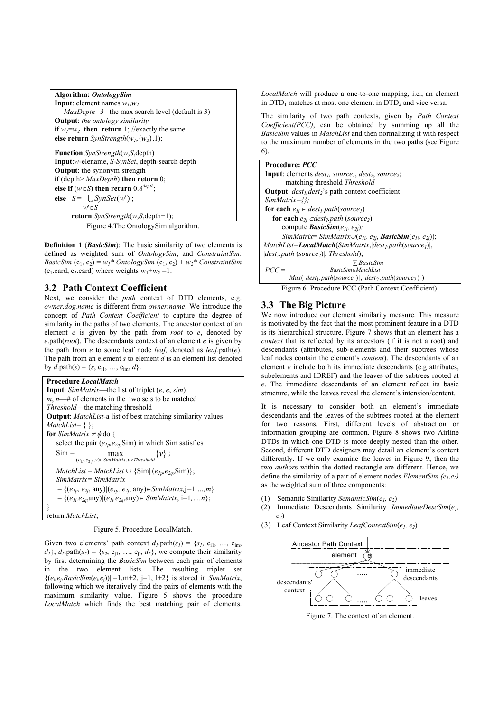| Algorithm: OntologySim                                                |
|-----------------------------------------------------------------------|
| <b>Input</b> : element names $w_1, w_2$                               |
| $MaxDepth=3$ –the max search level (default is 3)                     |
| <b>Output:</b> the ontology similarity                                |
| <b>if</b> $w_1 = w_2$ then return 1; //exactly the same               |
| else return SynStrength(w <sub>1</sub> , {w <sub>2</sub> }, 1);       |
|                                                                       |
| <b>Function</b> SynStrength(w,S,depth)                                |
| <b>Input:</b> <i>w</i> -elename, <i>S-SynSet</i> , depth-search depth |
| <b>Output:</b> the synonym strength                                   |
| if (depth> $MaxDepth$ ) then return 0;                                |
| else if $(w \in S)$ then return 0.8 <sup>depth</sup> ;                |
| else $S = \bigcup SynSet(w')$ ;                                       |
| $w \in S$                                                             |

 **return** *SynStrength*(*w*,*S*,depth+1); Figure 4.The OntologySim algorithm.

**Definition 1** *(BasicSim)*: The basic similarity of two elements is defined as weighted sum of *OntologySim*, and *ConstraintSim*: *BasicSim*  $(e_1, e_2) = w_1 * OntologySim (e_1, e_2) + w_2 * ConstantSim$ (e<sub>1</sub>.card, e<sub>2</sub>.card) where weights  $w_1+w_2=1$ .

# **3.2 Path Context Coefficient**

Next, we consider the *path* context of DTD elements, e.g. *owner.dog.name* is different from *owner.name*. We introduce the concept of *Path Context Coefficient* to capture the degree of similarity in the paths of two elements. The ancestor context of an element *e* is given by the path from *root* to *e*, denoted by *e*.path(*root*). The descendants context of an element *e* is given by the path from *e* to some leaf node *leaf,* denoted as *leaf*.path(*e*). The path from an element *s* to element *d* is an element list denoted by  $d$ .path( $s$ ) = { $s$ ,  $e_{i1}$ , ...,  $e_{im}$ ,  $d$ }.

**Procedure** *LocalMatch* **Input**: *SimMatrix*—the list of triplet (*e*, *e*, *sim*) *m*, *n*—# of elements in the two sets to be matched *Threshold*—the matching threshold **Output**: *MatchList-*a list of best matching similarity values *MatchList*= { }; **for** *SimMatrix*  $\neq \phi$  do { select the pair  $(e_{lp}, e_{2q}, \text{Sim})$  in which Sim satisfies  $\text{Sim} = \max_{(e_{1i}, e_{2j}, v) \in \text{SimMatrix}, v > \text{Threshold}} \{v\}$ ;  $MatchList = MatchList \cup \{Sim | (e_{1p}, e_{2q}, Sim) \};$  *SimMatrix= SimMatrix –* {(*e1p, e2j*, any)*|*(*e1p, e2j*, any)∈*SimMatrix,*j*=*1*,…,m*}  *–* {(*e1i,e2q*,any)*|*(*e1i,e2q*,any)∈ *SimMatrix*, i=1*,…,n*}; } return *MatchList*;

Figure 5. Procedure LocalMatch.

Given two elements' path context  $d_l$ .path $(s_l) = \{s_l, e_{i1}, \ldots, e_{im}\}$  $d_1$ ,  $d_2$  path( $s_2$ ) = { $s_2$ ,  $e_{i1}$ , ...,  $e_{i1}$ ,  $d_2$ }, we compute their similarity by first determining the *BasicSim* between each pair of elements in the two element lists. The resulting triplet set  $\{(e_i,e_j,BasicSim(e_i,e_j))|i=1,m+2, j=1, l+2\}$  is stored in *SimMatrix*, following which we iteratively find the pairs of elements with the maximum similarity value. Figure 5 shows the procedure *LocalMatch* which finds the best matching pair of elements.

*LocalMatch* will produce a one-to-one mapping, i.e., an element in  $DTD_1$  matches at most one element in  $DTD_2$  and vice versa.

The similarity of two path contexts, given by *Path Context Coefficient(PCC)*, can be obtained by summing up all the *BasicSim* values in *MatchList* and then normalizing it with respect to the maximum number of elements in the two paths (see Figure 6).

**Procedure:** *PCC* **Input**: elements  $dest<sub>1</sub>$ *, source<sub>1</sub>*, *dest<sub>2</sub>*, *source<sub>2</sub>*; matching threshold *Threshold* **Output**:  $dest<sub>1</sub>, dest<sub>2</sub>$ 's path context coefficient *SimMatrix={};* **for each**  $e_{1i} \in dest_1.path(source_1)$ **for each**  $e_{2i} \in dest_2.path$  (*source*<sub>2</sub>) compute *BasicSim*( $e_{1i}$ ,  $e_{2i}$ ); *SimMatrix*= *SimMatrix*∪( $e_{1i}$ ,  $e_{2i}$ , *BasicSim*( $e_{1i}$ ,  $e_{2j}$ )); *MatchList=LocalMatch*(*SimMatrix*,|*dest1.path*(*source1*)|,  $|dest_2.path$  (*source*<sub>2</sub>)|, *Threshold*);  $PCC = \frac{BasicSim \in MatchList}{Max(\mid dest_1.path(source_1) \mid, \mid dest_2.path(source_2) \mid)}$ *BasicSim* ∑ *BasicSim MatchList* ∈ Figure 6. Procedure PCC (Path Context Coefficient).

# **3.3 The Big Picture**

We now introduce our element similarity measure. This measure is motivated by the fact that the most prominent feature in a DTD is its hierarchical structure. Figure 7 shows that an element has a *context* that is reflected by its ancestors (if it is not a root) and descendants (attributes, sub-elements and their subtrees whose leaf nodes contain the element's *content*). The descendants of an element *e* include both its immediate descendants (e.g attributes, subelements and IDREF) and the leaves of the subtrees rooted at *e*. The immediate descendants of an element reflect its basic structure, while the leaves reveal the element's intension/content.

It is necessary to consider both an element's immediate descendants and the leaves of the subtrees rooted at the element for two reasons*.* First, different levels of abstraction or information grouping are common. Figure 8 shows two Airline DTDs in which one DTD is more deeply nested than the other. Second, different DTD designers may detail an element's content differently. If we only examine the leaves in Figure 9, then the two *author*s within the dotted rectangle are different. Hence, we define the similarity of a pair of element nodes *ElementSim*  $(e_1, e_2)$ as the weighted sum of three components:

- (1) Semantic Similarity *SemanticSim*(*e1, e2*)
- (2) Immediate Descendants Similarity *ImmediateDescSim*(*e1, e2*)
- (3) Leaf Context Similarity *LeafContextSim*(*e1, e2*)



Figure 7. The context of an element.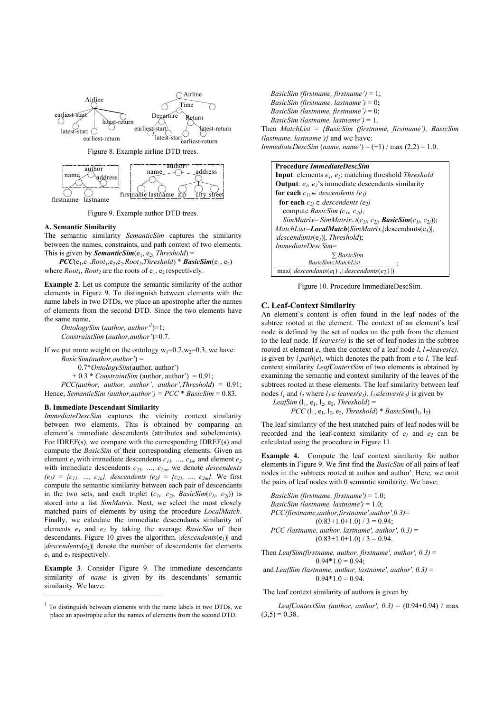

Figure 9. Example author DTD trees.

firstname lastname

zip city street

#### **A. Semantic Similarity**

firstname lastname

The semantic similarity *SemanticSim* captures the similarity between the names, constraints, and path context of two elements. This is given by **SemanticSim**( $e_1$ ,  $e_2$ , *Threshold*) =

 $\textit{PCC}(e_1, e_1 \text{.} Root_1, e_2, e_2 \text{.} Root_2, Threshold) * BasicSim(e_1, e_2)$ where  $Root<sub>1</sub>$ ,  $Root<sub>2</sub>$  are the roots of  $e<sub>1</sub>$ ,  $e<sub>2</sub>$  respectively.

**Example 2**. Let us compute the semantic similarity of the author elements in Figure 9. To distinguish between elements with the name labels in two DTDs, we place an apostrophe after the names of elements from the second DTD. Since the two elements have the same name,

*OntologySim* (*author, author*<sup> $1$ </sup>)=1;  *ConstraintSim* (*author,author'*)=0.7.

If we put more weight on the ontology  $w_1=0.7$ ,  $w_2=0.3$ , we have:

 *BasicSim(author,author'*) =

0.7\**OntologySim*(author, author')

 $+ 0.3 * *Constraintsim* (author, author') = 0.91;$ 

 *PCC(author, author, author', author',Threshold*) = 0.91; Hence, *SemanticSim (author,author')* =  $PCC * BasicSim = 0.83$ .

#### **B. Immediate Descendant Similarity**

j

*ImmediateDescSim* captures the vicinity context similarity between two elements. This is obtained by comparing an element's immediate descendents (attributes and subelements). For IDREF(s), we compare with the corresponding IDREF(s) and compute the *BasicSim* of their corresponding elements. Given an element  $e_1$  with immediate descendents  $c_{11}$ , ...,  $c_{1n}$ , and element  $e_2$ with immediate descendents  $c_{2l}$ , ...,  $c_{2m}$ , we denote *descendents*  $(e_1) = \{c_{11}, ..., c_{1n}\}\$ , *descendents*  $(e_2) = \{c_{21}, ..., c_{2m}\}\$ . We first compute the semantic similarity between each pair of descendants in the two sets, and each triplet  $(c_{1i}, c_{2j}, BasicSim(c_{1i}, c_{2j}))$  is stored into a list *SimMatrix*. Next, we select the most closely matched pairs of elements by using the procedure *LocalMatch*. Finally, we calculate the immediate descendants similarity of elements  $e_1$  and  $e_2$  by taking the average *BasicSim* of their descendants. Figure 10 gives the algorithm. *descendents*(e<sub>1</sub>) and  $|descendants(e_2)|$  denote the number of descendents for elements  $e_1$  and  $e_2$  respectively.

**Example 3**. Consider Figure 9. The immediate descendants similarity of *name* is given by its descendants' semantic similarity. We have:

 *BasicSim (firstname, firstname')* = 1; *BasicSim (firstname, lastname')* = 0**;** *BasicSim (lastname, firstname')* = 0; *BasicSim (lastname, lastname')* = 1. Then *MatchList* = *{BasicSim (firstname, firstname'), BasicSim (lastname, lastname')}* and we have: *ImmediateDescSim* (*name*, *name'*) = (+1) / max (2,2) = 1.0.

#### **Procedure** *ImmediateDescSim*

**Input**: elements  $e_1$ ,  $e_2$ ; matching threshold *Threshold* **Output**:  $e_1$ ,  $e_2$ 's immediate descendants similarity **for each**  $c_{1i} \in$  *descendents (e<sub>1</sub>)* **for each**  $c_{2i} \in$  descendents (e<sub>2</sub>) compute *BasicSim (c1i, c2j); SimMatrix*= *SimMatrix*∪( $c_{1i}$ ,  $c_{2i}$ , *BasicSim*( $c_{1i}$ ,  $c_{2i}$ )); *MatchList=LocalMatch*(*SimMatrix*,|descendants(e<sub>1</sub>)|, |*descendants*(e2)|, *Threshold*); *ImmediateDescSim*=  $max(|descendants(e_1)|, |descendants(e_2)|)$ *BasicSim* ∑ *BasicSim∈MatchList* ;

Figure 10. Procedure ImmediateDescSim.

#### **C. Leaf-Context Similarity**

An element's content is often found in the leaf nodes of the subtree rooted at the element. The context of an element's leaf node is defined by the set of nodes on the path from the element to the leaf node. If *leaves(e)* is the set of leaf nodes in the subtree rooted at element *e*, then the context of a leaf node *l*, *l*∈*leaves(e),*  is given by  $l.path(e)$ , which denotes the path from  $e$  to  $l$ . The leafcontext similarity *LeafContextSim* of two elements is obtained by examining the semantic and context similarity of the leaves of the subtrees rooted at these elements. The leaf similarity between leaf nodes  $l_1$  and  $l_2$  where  $l_1 \in leaves(e_1), l_2 \in leaves(e_2)$  is given by

*LeafSim*  $(l_1, e_1, l_2, e_2,$  *Threshold* $) =$ 

 $PCC$   $(l_1, e_1, l_2, e_2,$  *Threshold*) \* *BasicSim* $(l_1, l_2)$ 

The leaf similarity of the best matched pairs of leaf nodes will be recorded and the leaf-context similarity of  $e_1$  and  $e_2$  can be calculated using the procedure in Figure 11.

**Example 4.** Compute the leaf context similarity for author elements in Figure 9. We first find the *BasicSim* of all pairs of leaf nodes in the subtrees rooted at author and author'. Here, we omit the pairs of leaf nodes with 0 semantic similarity. We have:

 *BasicSim (firstname, firstname')* = 1.0; *BasicSim (lastname, lastname')* = 1.0; *PCC(firstname,author,firstname',author',0.3)*=  $(0.83+1.0+1.0) / 3 = 0.94;$  *PCC (lastname, author, lastname', author', 0.3)* =  $(0.83+1.0+1.0) / 3 = 0.94.$ 

Then *LeafSim(firstname, author, firstname', author', 0.3)* =  $0.94*1.0 = 0.94$ ;

 and *LeafSim (lastname, author, lastname', author', 0.3)* =  $0.94*1.0=0.94.$ 

#### The leaf context similarity of authors is given by

*LeafContextSim (author, author', 0.3)* =  $(0.94+0.94)$  / max  $(3,5) = 0.38$ .

<sup>1</sup> To distinguish between elements with the name labels in two DTDs, we place an apostrophe after the names of elements from the second DTD.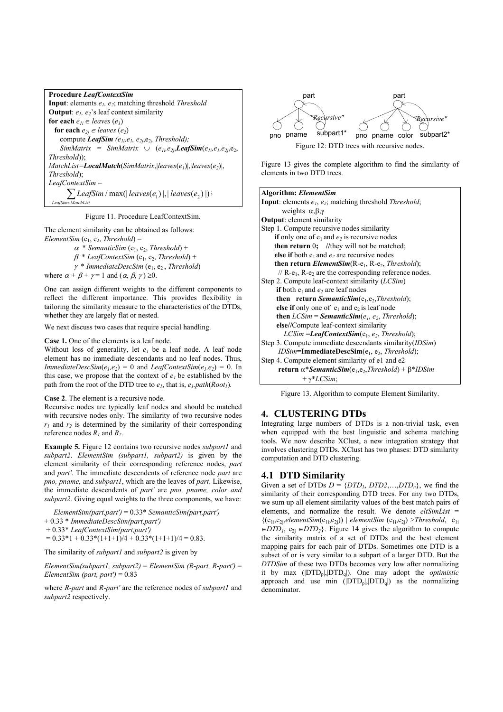| <b>Procedure LeafContextSim</b>                                                                          |
|----------------------------------------------------------------------------------------------------------|
| <b>Input:</b> elements $e_1$ , $e_2$ ; matching threshold <i>Threshold</i>                               |
| <b>Output</b> : $e_1$ , $e_2$ 's leaf context similarity                                                 |
| for each $e_{1i} \in leaves(e_1)$                                                                        |
| for each $e_{2i} \in leaves(e_2)$                                                                        |
| compute LeafSim ( $e_{1i}$ , $e_{2i}$ , $e_{2i}$ , Threshold);                                           |
| SimMatrix = SimMatrix $\cup$ ( $e_{1i}e_{2j}$ , <b>LeafSim</b> ( $e_{1i}e_{1i}e_{2j}e_{2j}$ , $e_{2j}$ , |
| $Threshold$ );                                                                                           |
| $MatchList = LocalMatch(SimMatrix, \vert leaves(e_1) \vert, \vert leaves(e_2) \vert,$                    |
| Threshold);                                                                                              |
| $LeafContextSim =$                                                                                       |
| $\sum$ LeafSim / max(  leaves(e <sub>1</sub> ) ,  leaves(e <sub>2</sub> ) );                             |
| LeafSim EMatchList                                                                                       |

Figure 11. Procedure LeafContextSim.

The element similarity can be obtained as follows: *ElementSim* ( $e_1$ ,  $e_2$ , *Threshold*) =

> $\alpha$  \* *SemanticSim* (e<sub>1</sub>, e<sub>2</sub>, *Threshold*) +  $\beta$ <sup>\*</sup> *LeafContextSim* (e<sub>1</sub>, e<sub>2</sub>, *Threshold*) + <sup>γ</sup>\* *ImmediateDescSim* (e1, e2 , *Threshold*)

where  $\alpha + \beta + \gamma = 1$  and  $(\alpha, \beta, \gamma) \ge 0$ .

One can assign different weights to the different components to reflect the different importance. This provides flexibility in tailoring the similarity measure to the characteristics of the DTDs, whether they are largely flat or nested.

We next discuss two cases that require special handling.

#### **Case 1.** One of the elements is a leaf node.

Without loss of generality, let  $e_1$  be a leaf node. A leaf node element has no immediate descendants and no leaf nodes. Thus, *ImmediateDescSim*( $e_1$ , $e_2$ ) = 0 and *LeafContextSim*( $e_1$ , $e_2$ ) = 0. In this case, we propose that the context of  $e_1$  be established by the path from the root of the DTD tree to  $e_1$ , that is,  $e_1$ , path(*Root<sub>1</sub>*).

#### **Case 2**. The element is a recursive node.

Recursive nodes are typically leaf nodes and should be matched with recursive nodes only. The similarity of two recursive nodes  $r_1$  and  $r_2$  is determined by the similarity of their corresponding reference nodes  $R_1$  and  $R_2$ .

**Example 5.** Figure 12 contains two recursive nodes *subpart1* and *subpart2*. *ElementSim (subpart1, subpart2)* is given by the element similarity of their corresponding reference nodes, *part*  and *part'*. The immediate descendents of reference node *part* are *pno, pname,* and *subpart1*, which are the leaves of *part*. Likewise, the immediate descendents of *part'* are *pno, pname, color and subpart2*. Giving equal weights to the three components, we have:

 *ElementSim(part,part')* = 0.33\* *SemanticSim(part,part')* + 0.33 \* *ImmediateDescSim(part,part')*  + 0.33\* *LeafContextSim(part,part')* 

 $= 0.33*1 + 0.33*(1+1+1)/4 + 0.33*(1+1+1)/4 = 0.83.$ 

The similarity of *subpart1* and *subpart2* is given by

*ElementSim(subpart1, subpart2)* = *ElementSim (R-part, R-part')* = *ElementSim (part, part')* = 0.83

where *R-part* and *R-part'* are the reference nodes of *subpart1* and *subpart2* respectively.



Figure 13 gives the complete algorithm to find the similarity of elements in two DTD trees.

Figure 13. Algorithm to compute Element Similarity.

# **4. CLUSTERING DTDs**

Integrating large numbers of DTDs is a non-trivial task, even when equipped with the best linguistic and schema matching tools. We now describe XClust, a new integration strategy that involves clustering DTDs. XClust has two phases: DTD similarity computation and DTD clustering.

# **4.1 DTD Similarity**

Given a set of DTDs  $D = \{DTD_1, DTD_2, \ldots, DTD_n\}$ , we find the similarity of their corresponding DTD trees. For any two DTDs, we sum up all element similarity values of the best match pairs of elements, and normalize the result. We denote *eltSimList* =  ${(e_{1i},e_{2i}, elementSim(e_{1i},e_{2i})) \mid elementSim(e_{1i},e_{2i}) > Threshold, e_{1i}}$  $\in$ *DTD<sub>1</sub>*,  $e_{2i} \in$ *DTD*<sub>2</sub>}. Figure 14 gives the algorithm to compute the similarity matrix of a set of DTDs and the best element mapping pairs for each pair of DTDs. Sometimes one DTD is a subset of or is very similar to a subpart of a larger DTD. But the *DTDSim* of these two DTDs becomes very low after normalizing it by max (|DTDp|,|DTDq|). One may adopt the *optimistic* approach and use min  $(|\text{DTD}_{p}|, |\text{PTD}_{q}|)$  as the normalizing denominator.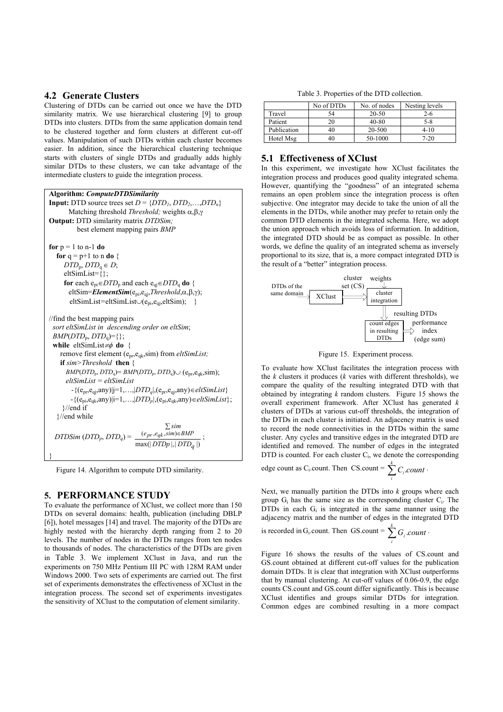# **4.2 Generate Clusters**

Clustering of DTDs can be carried out once we have the DTD similarity matrix. We use hierarchical clustering [9] to group DTDs into clusters. DTDs from the same application domain tend to be clustered together and form clusters at different cut-off values. Manipulation of such DTDs within each cluster becomes easier. In addition, since the hierarchical clustering technique starts with clusters of single DTDs and gradually adds highly similar DTDs to these clusters, we can take advantage of the intermediate clusters to guide the integration process.

```
Algorithm: ComputeDTDSimilarity 
Input: DTD source trees set D = \{DTD_1, DTD_2, \ldots, DTD_n\} Matching threshold Threshold; weights α,β,γ
Output: DTD similarity matrix DTDSim;
           best element mapping pairs BMP
for p = 1 to n-1 do
  for q = p+1 to n do \{\overline{DTD_n}, \overline{DTD_q} \in D;eltSimList=\{}\;
     for each e_{pi} \in DTD_p and each e_{qi} \in DTD_q do {
        eltSim=ElementSim(epi,eqj,Threshold,α,β,γ); 
        eltSimList=eltSimList∪(epi,eqj,eltSim); } 
//find the best mapping pairs 
  sort eltSimList in descending order on eltSim; 
 BMP(DTD_{p}, DTD_{q})=\{\}; while eltSimList≠φ do { 
     remove first element (epr,eqk,sim) from eltSimList; 
     if sim>Threshold then { 
      BMP(DTD_{p}, DTD_{q})= BMP(DTD_{p}, DTD_{q}) \cup (e_{pr}, e_{qk}, \text{sim}); eltSimList = eltSimList 
         -{(epr,eqj,any)|j=1,…,|DTDq|,(epr,eqj,any)∈eltSimList} 
         -{(epi,eqk,any)|i=1,…,|DTDp|,(epi,eqk,any)∈eltSimList}; 
      }//end if 
   }//end while
DTDSim(DTD_p, DTD_q) = \frac{(e_{pr}, e_{qk}, sum) \in BMP}{\max(|DTD_p|, |DTD_q|)}(e_{nr}, e_{ak}, sim)q
                                    e_{nr}, e_{ak}, sim)\inBMP
                                        DTDp DTD
                                             sim
∑ pr e_{qk}, sim) \in BMP;
}
```
Figure 14. Algorithm to compute DTD similarity.

## **5. PERFORMANCE STUDY**

To evaluate the performance of XClust, we collect more than 150 DTDs on several domains: health, publication (including DBLP [6]), hotel messages [14] and travel. The majority of the DTDs are highly nested with the hierarchy depth ranging from 2 to 20 levels. The number of nodes in the DTDs ranges from ten nodes to thousands of nodes. The characteristics of the DTDs are given in Table 3. We implement XClust in Java, and run the experiments on 750 MHz Pentium III PC with 128M RAM under Windows 2000. Two sets of experiments are carried out. The first set of experiments demonstrates the effectiveness of XClust in the integration process. The second set of experiments investigates the sensitivity of XClust to the computation of element similarity.

Table 3. Properties of the DTD collection.

|             | No of DTDs | No. of nodes | Nesting levels |
|-------------|------------|--------------|----------------|
| Travel      | 54         | $20 - 50$    | $2 - 6$        |
| Patient     | 20         | $40 - 80$    | $5 - 8$        |
| Publication | 40         | 20-500       | $4 - 10$       |
| Hotel Msg   | 40         | 50-1000      | 7-20           |

# **5.1 Effectiveness of XClust**

In this experiment, we investigate how XClust facilitates the integration process and produces good quality integrated schema. However, quantifying the "goodness" of an integrated schema remains an open problem since the integration process is often subjective. One integrator may decide to take the union of all the elements in the DTDs, while another may prefer to retain only the common DTD elements in the integrated schema. Here, we adopt the union approach which avoids loss of information. In addition, the integrated DTD should be as compact as possible. In other words, we define the quality of an integrated schema as inversely proportional to its size, that is, a more compact integrated DTD is the result of a "better" integration process.



Figure 15. Experiment process.

To evaluate how XClust facilitates the integration process with the *k* clusters it produces (*k* varies with different thresholds), we compare the quality of the resulting integrated DTD with that obtained by integrating *k* random clusters. Figure 15 shows the overall experiment framework. After XClust has generated *k* clusters of DTDs at various cut-off thresholds, the integration of the DTDs in each cluster is initiated. An adjacency matrix is used to record the node connectivities in the DTDs within the same cluster. Any cycles and transitive edges in the integrated DTD are identified and removed. The number of edges in the integrated DTD is counted. For each cluster  $C_i$ , we denote the corresponding

edge count as C<sub>i</sub>.count. Then CS.count = 
$$
\sum_{i}^{k} C_{i} count
$$
.

Next, we manually partition the DTDs into *k* groups where each group  $G_i$  has the same size as the corresponding cluster  $C_i$ . The DTDs in each  $G_i$  is integrated in the same manner using the adjacency matrix and the number of edges in the integrated DTD

is recorded in G<sub>i</sub>.count. Then GS.count = 
$$
\sum_{i}^{k} G_{i}.count
$$
.

Figure 16 shows the results of the values of CS.count and GS.count obtained at different cut-off values for the publication domain DTDs. It is clear that integration with XClust outperforms that by manual clustering. At cut-off values of 0.06-0.9, the edge counts CS.count and GS.count differ significantly. This is because XClust identifies and groups similar DTDs for integration. Common edges are combined resulting in a more compact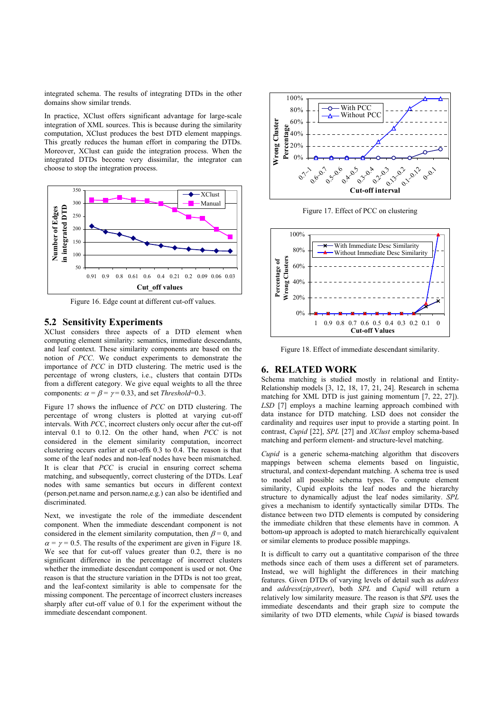integrated schema. The results of integrating DTDs in the other domains show similar trends.

In practice, XClust offers significant advantage for large-scale integration of XML sources. This is because during the similarity computation, XClust produces the best DTD element mappings. This greatly reduces the human effort in comparing the DTDs. Moreover, XClust can guide the integration process. When the integrated DTDs become very dissimilar, the integrator can choose to stop the integration process.



Figure 16. Edge count at different cut-off values.

# **5.2 Sensitivity Experiments**

XClust considers three aspects of a DTD element when computing element similarity: semantics, immediate descendants, and leaf context. These similarity components are based on the notion of *PCC*. We conduct experiments to demonstrate the importance of *PCC* in DTD clustering. The metric used is the percentage of wrong clusters, i.e., clusters that contain DTDs from a different category. We give equal weights to all the three components:  $\alpha = \beta = \gamma = 0.33$ , and set *Threshold*=0.3.

Figure 17 shows the influence of *PCC* on DTD clustering. The percentage of wrong clusters is plotted at varying cut-off intervals. With *PCC*, incorrect clusters only occur after the cut-off interval 0.1 to 0.12. On the other hand, when *PCC* is not considered in the element similarity computation, incorrect clustering occurs earlier at cut-offs 0.3 to 0.4. The reason is that some of the leaf nodes and non-leaf nodes have been mismatched. It is clear that *PCC* is crucial in ensuring correct schema matching, and subsequently, correct clustering of the DTDs. Leaf nodes with same semantics but occurs in different context (person.pet.name and person.name,e.g.) can also be identified and discriminated.

Next, we investigate the role of the immediate descendent component. When the immediate descendant component is not considered in the element similarity computation, then  $\beta = 0$ , and  $\alpha = \gamma = 0.5$ . The results of the experiment are given in Figure 18. We see that for cut-off values greater than 0.2, there is no significant difference in the percentage of incorrect clusters whether the immediate descendant component is used or not. One reason is that the structure variation in the DTDs is not too great, and the leaf-context similarity is able to compensate for the missing component. The percentage of incorrect clusters increases sharply after cut-off value of 0.1 for the experiment without the immediate descendant component.



Figure 17. Effect of PCC on clustering



Figure 18. Effect of immediate descendant similarity.

# **6. RELATED WORK**

Schema matching is studied mostly in relational and Entity-Relationship models [3, 12, 18, 17, 21, 24]. Research in schema matching for XML DTD is just gaining momentum [7, 22, 27]). *LSD* [7] employs a machine learning approach combined with data instance for DTD matching. LSD does not consider the cardinality and requires user input to provide a starting point. In contrast, *Cupid* [22], *SPL* [27] and *XClust* employ schema-based matching and perform element- and structure-level matching.

*Cupid* is a generic schema-matching algorithm that discovers mappings between schema elements based on linguistic, structural, and context-dependant matching. A schema tree is used to model all possible schema types. To compute element similarity, Cupid exploits the leaf nodes and the hierarchy structure to dynamically adjust the leaf nodes similarity. *SPL* gives a mechanism to identify syntactically similar DTDs. The distance between two DTD elements is computed by considering the immediate children that these elements have in common. A bottom-up approach is adopted to match hierarchically equivalent or similar elements to produce possible mappings.

It is difficult to carry out a quantitative comparison of the three methods since each of them uses a different set of parameters. Instead, we will highlight the differences in their matching features. Given DTDs of varying levels of detail such as *address* and *address*(*zip*,*street*), both *SPL* and *Cupid* will return a relatively low similarity measure. The reason is that *SPL* uses the immediate descendants and their graph size to compute the similarity of two DTD elements, while *Cupid* is biased towards